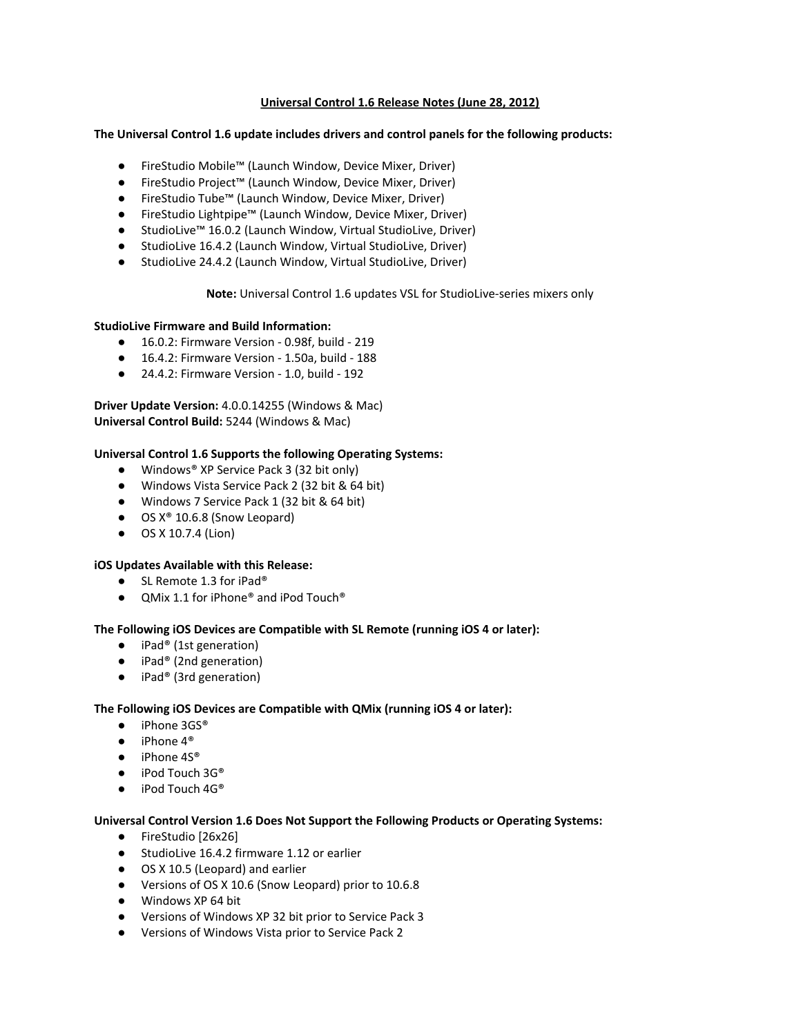# **Universal Control 1.6 Release Notes (June 28, 2012)**

## **The Universal Control 1.6 update includes drivers and control panels for the following products:**

- FireStudio Mobile™ (Launch Window, Device Mixer, Driver)
- FireStudio Project™ (Launch Window, Device Mixer, Driver)
- FireStudio Tube™ (Launch Window, Device Mixer, Driver)
- FireStudio Lightpipe™ (Launch Window, Device Mixer, Driver)
- StudioLive™ 16.0.2 (Launch Window, Virtual StudioLive, Driver)
- StudioLive 16.4.2 (Launch Window, Virtual StudioLive, Driver)
- StudioLive 24.4.2 (Launch Window, Virtual StudioLive, Driver)

# **Note:** Universal Control 1.6 updates VSL for StudioLive-series mixers only

### **StudioLive Firmware and Build Information:**

- **●** 16.0.2: Firmware Version 0.98f, build 219
- **●** 16.4.2: Firmware Version 1.50a, build 188
- **●** 24.4.2: Firmware Version 1.0, build 192

**Driver Update Version:** 4.0.0.14255 (Windows & Mac) **Universal Control Build:** 5244 (Windows & Mac)

## **Universal Control 1.6 Supports the following Operating Systems:**

- Windows<sup>®</sup> XP Service Pack 3 (32 bit only)
- Windows Vista Service Pack 2 (32 bit & 64 bit)
- Windows 7 Service Pack 1 (32 bit & 64 bit)
- OS X<sup>®</sup> 10.6.8 (Snow Leopard)
- OS X 10.7.4 (Lion)

### **iOS Updates Available with this Release:**

- SL Remote 1.3 for iPad<sup>®</sup>
- QMix 1.1 for iPhone<sup>®</sup> and iPod Touch<sup>®</sup>

# **The Following iOS Devices are Compatible with SL Remote (running iOS 4 or later):**

- **●** iPad® (1st generation)
- **●** iPad® (2nd generation)
- **●** iPad® (3rd generation)

# **The Following iOS Devices are Compatible with QMix (running iOS 4 or later):**

- iPhone 3GS®
- iPhone 4<sup>®</sup>
- iPhone 4S<sup>®</sup>
- iPod Touch 3G<sup>®</sup>
- iPod Touch 4G®

### **Universal Control Version 1.6 Does Not Support the Following Products or Operating Systems:**

- **●** FireStudio [26x26]
- **●** StudioLive 16.4.2 firmware 1.12 or earlier
- **●** OS X 10.5 (Leopard) and earlier
- **●** Versions of OS X 10.6 (Snow Leopard) prior to 10.6.8
- **●** Windows XP 64 bit
- **●** Versions of Windows XP 32 bit prior to Service Pack 3
- **●** Versions of Windows Vista prior to Service Pack 2